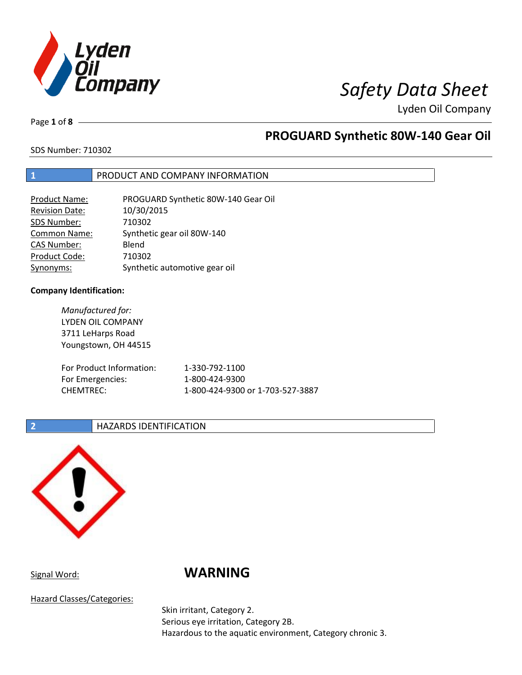

Page **1** of **8**

## **PROGUARD Synthetic 80W-140 Gear Oil**

SDS Number: 710302

### **1** PRODUCT AND COMPANY INFORMATION

| <b>Product Name:</b>  | PROGUARD Synthetic 80W-140 Gear Oil |
|-----------------------|-------------------------------------|
| <b>Revision Date:</b> | 10/30/2015                          |
| SDS Number:           | 710302                              |
| <b>Common Name:</b>   | Synthetic gear oil 80W-140          |
| <b>CAS Number:</b>    | Blend                               |
| Product Code:         | 710302                              |
| Synonyms:             | Synthetic automotive gear oil       |

### **Company Identification:**

*Manufactured for:* LYDEN OIL COMPANY 3711 LeHarps Road Youngstown, OH 44515 For Product Information: 1-330-792-1100 For Emergencies: 1-800-424-9300 CHEMTREC: 1-800-424-9300 or 1-703-527-3887

### **2 HAZARDS IDENTIFICATION**



## Signal Word: **WARNING**

Hazard Classes/Categories:

Skin irritant, Category 2. Serious eye irritation, Category 2B. Hazardous to the aquatic environment, Category chronic 3.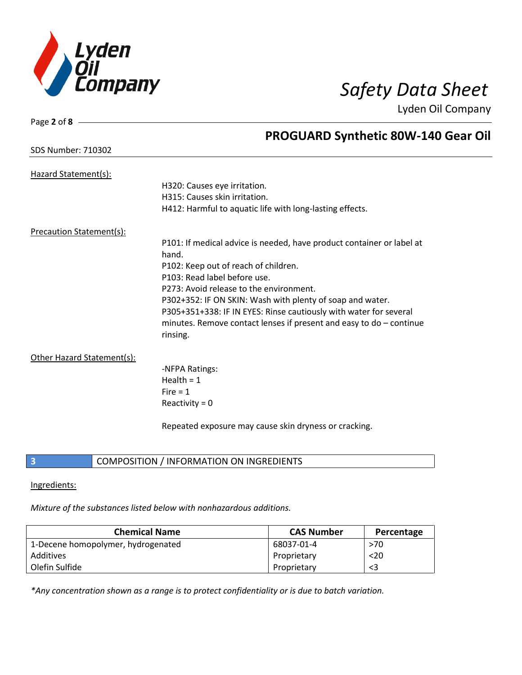

## **PROGUARD Synthetic 80W-140 Gear Oil**

| <b>SDS Number: 710302</b> |  |
|---------------------------|--|
|                           |  |

Page **2** of **8**

| Hazard Statement(s):            |                                                                                |
|---------------------------------|--------------------------------------------------------------------------------|
|                                 | H320: Causes eye irritation.                                                   |
|                                 | H315: Causes skin irritation.                                                  |
|                                 | H412: Harmful to aquatic life with long-lasting effects.                       |
| <b>Precaution Statement(s):</b> |                                                                                |
|                                 | P101: If medical advice is needed, have product container or label at<br>hand. |
|                                 | P102: Keep out of reach of children.                                           |
|                                 | P103: Read label before use.                                                   |
|                                 | P273: Avoid release to the environment.                                        |
|                                 | P302+352: IF ON SKIN: Wash with plenty of soap and water.                      |
|                                 | P305+351+338: IF IN EYES: Rinse cautiously with water for several              |
|                                 | minutes. Remove contact lenses if present and easy to $do$ – continue          |
|                                 | rinsing.                                                                       |
| Other Hazard Statement(s):      |                                                                                |
|                                 | -NFPA Ratings:                                                                 |
|                                 | Health $= 1$                                                                   |
|                                 | $Fire = 1$                                                                     |
|                                 | Reactivity = $0$                                                               |

Repeated exposure may cause skin dryness or cracking.

### **3** COMPOSITION / INFORMATION ON INGREDIENTS

### Ingredients:

### *Mixture of the substances listed below with nonhazardous additions.*

| <b>Chemical Name</b>               | <b>CAS Number</b> | Percentage |
|------------------------------------|-------------------|------------|
| 1-Decene homopolymer, hydrogenated | 68037-01-4        | >70        |
| Additives                          | Proprietary       | $20$       |
| Olefin Sulfide                     | Proprietary       | $\leq$ 3   |

*\*Any concentration shown as a range is to protect confidentiality or is due to batch variation.*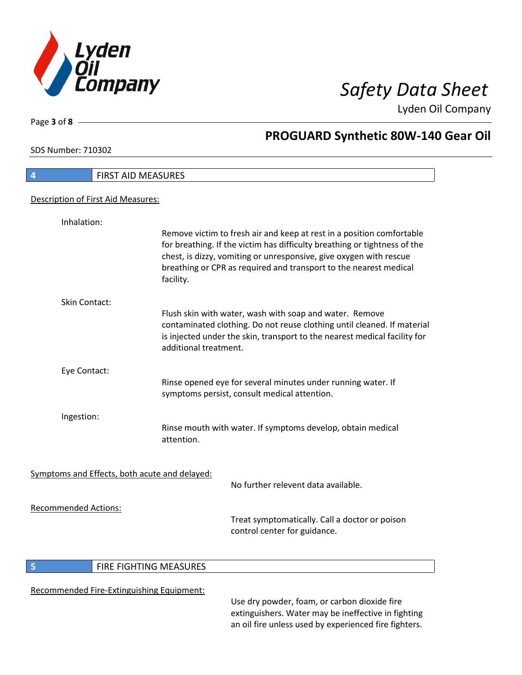

SDS Number: 710302

Page **3** of **8**

# **PROGUARD Synthetic 80W-140 Gear Oil**

| 4                           | <b>FIRST AID MEASURES</b>                                                                                                                                                                                                                                                                                  |
|-----------------------------|------------------------------------------------------------------------------------------------------------------------------------------------------------------------------------------------------------------------------------------------------------------------------------------------------------|
|                             | Description of First Aid Measures:                                                                                                                                                                                                                                                                         |
| Inhalation:                 |                                                                                                                                                                                                                                                                                                            |
|                             | Remove victim to fresh air and keep at rest in a position comfortable<br>for breathing. If the victim has difficulty breathing or tightness of the<br>chest, is dizzy, vomiting or unresponsive, give oxygen with rescue<br>breathing or CPR as required and transport to the nearest medical<br>facility. |
| Skin Contact:               |                                                                                                                                                                                                                                                                                                            |
|                             | Flush skin with water, wash with soap and water. Remove<br>contaminated clothing. Do not reuse clothing until cleaned. If material<br>is injected under the skin, transport to the nearest medical facility for<br>additional treatment.                                                                   |
| Eye Contact:                |                                                                                                                                                                                                                                                                                                            |
|                             | Rinse opened eye for several minutes under running water. If<br>symptoms persist, consult medical attention.                                                                                                                                                                                               |
| Ingestion:                  |                                                                                                                                                                                                                                                                                                            |
|                             | Rinse mouth with water. If symptoms develop, obtain medical<br>attention.                                                                                                                                                                                                                                  |
|                             | Symptoms and Effects, both acute and delayed:                                                                                                                                                                                                                                                              |
|                             | No further relevent data available.                                                                                                                                                                                                                                                                        |
| <b>Recommended Actions:</b> | Treat symptomatically. Call a doctor or poison<br>control center for guidance.                                                                                                                                                                                                                             |

### **5 FIRE FIGHTING MEASURES**

### Recommended Fire-Extinguishing Equipment:

Use dry powder, foam, or carbon dioxide fire extinguishers. Water may be ineffective in fighting an oil fire unless used by experienced fire fighters.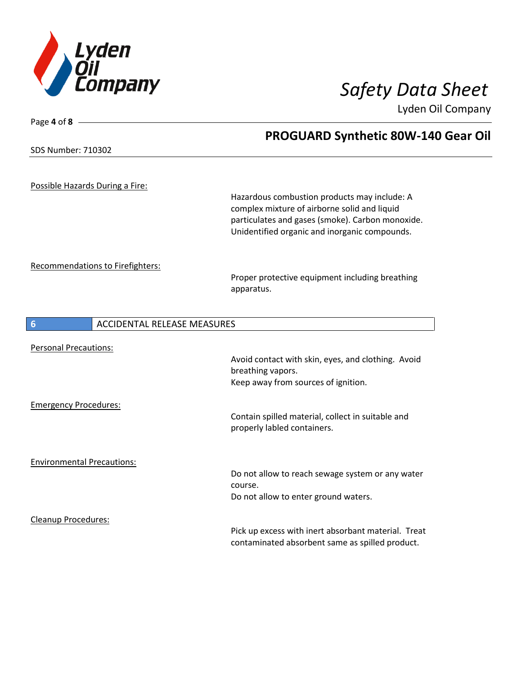

SDS Number: 710302

Page **4** of **8**

# **PROGUARD Synthetic 80W-140 Gear Oil**

Possible Hazards During a Fire:

Hazardous combustion products may include: A complex mixture of airborne solid and liquid particulates and gases (smoke). Carbon monoxide. Unidentified organic and inorganic compounds.

Recommendations to Firefighters:

Proper protective equipment including breathing apparatus.

| $6\phantom{1}6$                   | ACCIDENTAL RELEASE MEASURES |                                                                                                        |
|-----------------------------------|-----------------------------|--------------------------------------------------------------------------------------------------------|
| <b>Personal Precautions:</b>      |                             |                                                                                                        |
|                                   |                             | Avoid contact with skin, eyes, and clothing. Avoid<br>breathing vapors.                                |
|                                   |                             | Keep away from sources of ignition.                                                                    |
| <b>Emergency Procedures:</b>      |                             |                                                                                                        |
|                                   |                             | Contain spilled material, collect in suitable and<br>properly labled containers.                       |
| <b>Environmental Precautions:</b> |                             |                                                                                                        |
|                                   |                             | Do not allow to reach sewage system or any water<br>course.                                            |
|                                   |                             | Do not allow to enter ground waters.                                                                   |
| <b>Cleanup Procedures:</b>        |                             |                                                                                                        |
|                                   |                             | Pick up excess with inert absorbant material. Treat<br>contaminated absorbent same as spilled product. |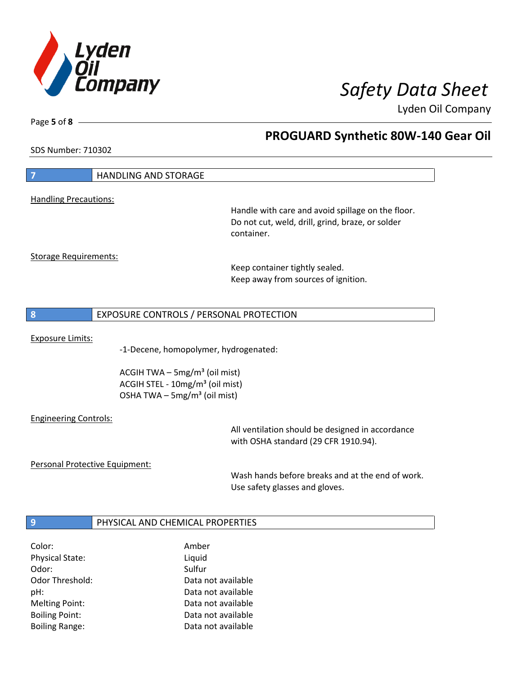

**PROGUARD Synthetic 80W-140 Gear Oil**

Lyden Oil Company

SDS Number: 710302

Page **5** of **8**

# **7** HANDLING AND STORAGE Handling Precautions: Handle with care and avoid spillage on the floor. Do not cut, weld, drill, grind, braze, or solder container. Storage Requirements: Keep container tightly sealed. Keep away from sources of ignition. **8** EXPOSURE CONTROLS / PERSONAL PROTECTION Exposure Limits: -1-Decene, homopolymer, hydrogenated: ACGIH TWA  $-$  5mg/m<sup>3</sup> (oil mist) ACGIH STEL - 10mg/m<sup>3</sup> (oil mist) OSHA TWA  $-$  5mg/m<sup>3</sup> (oil mist) Engineering Controls: All ventilation should be designed in accordance with OSHA standard (29 CFR 1910.94). Personal Protective Equipment: Wash hands before breaks and at the end of work. Use safety glasses and gloves. **9 PHYSICAL AND CHEMICAL PROPERTIES** Color: Amber Physical State: Liquid Odor: Sulfur Odor Threshold: Data not available

pH: Data not available Melting Point: Data not available Boiling Point: Data not available Boiling Range: The Communication of available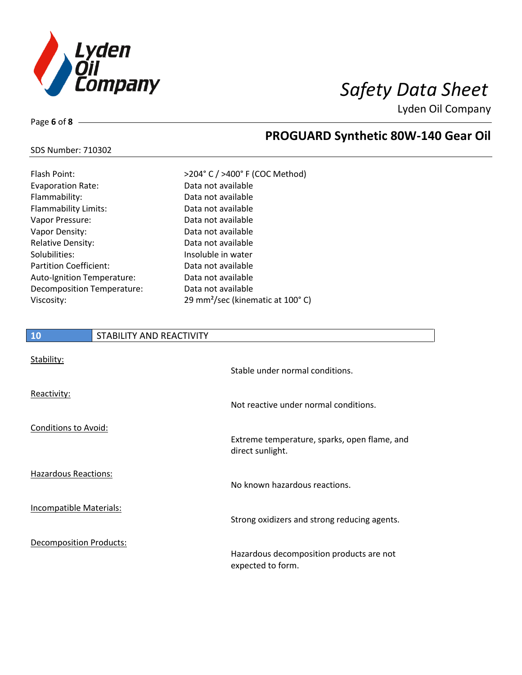

**PROGUARD Synthetic 80W-140 Gear Oil**

Lyden Oil Company

### SDS Number: 710302

Page **6** of **8**

| Flash Point:                  | >204° C / >400° F (COC Method)               |
|-------------------------------|----------------------------------------------|
| <b>Evaporation Rate:</b>      | Data not available                           |
| Flammability:                 | Data not available                           |
| <b>Flammability Limits:</b>   | Data not available                           |
| Vapor Pressure:               | Data not available                           |
| Vapor Density:                | Data not available                           |
| <b>Relative Density:</b>      | Data not available                           |
| Solubilities:                 | Insoluble in water                           |
| <b>Partition Coefficient:</b> | Data not available                           |
| Auto-Ignition Temperature:    | Data not available                           |
| Decomposition Temperature:    | Data not available                           |
| Viscosity:                    | 29 mm <sup>2</sup> /sec (kinematic at 100°C) |

| <b>10</b>                      | STABILITY AND REACTIVITY |                                                                  |
|--------------------------------|--------------------------|------------------------------------------------------------------|
| Stability:                     |                          | Stable under normal conditions.                                  |
| Reactivity:                    |                          | Not reactive under normal conditions.                            |
| <b>Conditions to Avoid:</b>    |                          | Extreme temperature, sparks, open flame, and<br>direct sunlight. |
| <b>Hazardous Reactions:</b>    |                          | No known hazardous reactions.                                    |
| Incompatible Materials:        |                          | Strong oxidizers and strong reducing agents.                     |
| <b>Decomposition Products:</b> |                          | Hazardous decomposition products are not<br>expected to form.    |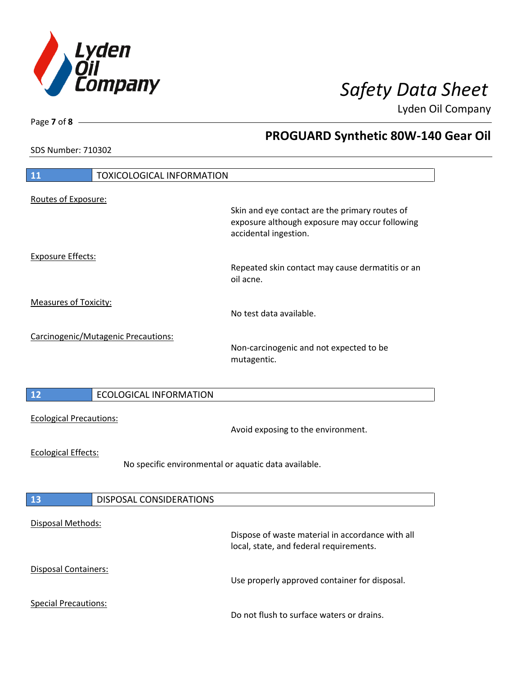

**PROGUARD Synthetic 80W-140 Gear Oil**

Lyden Oil Company

SDS Number: 710302

| <b>TOXICOLOGICAL INFORMATION</b><br>11                                             |                                                                                                                           |
|------------------------------------------------------------------------------------|---------------------------------------------------------------------------------------------------------------------------|
| Routes of Exposure:                                                                |                                                                                                                           |
|                                                                                    | Skin and eye contact are the primary routes of<br>exposure although exposure may occur following<br>accidental ingestion. |
| <b>Exposure Effects:</b>                                                           | Repeated skin contact may cause dermatitis or an<br>oil acne.                                                             |
| <b>Measures of Toxicity:</b>                                                       | No test data available.                                                                                                   |
| Carcinogenic/Mutagenic Precautions:                                                | Non-carcinogenic and not expected to be<br>mutagentic.                                                                    |
| <b>ECOLOGICAL INFORMATION</b><br>12                                                |                                                                                                                           |
| <b>Ecological Precautions:</b>                                                     | Avoid exposing to the environment.                                                                                        |
| <b>Ecological Effects:</b><br>No specific environmental or aquatic data available. |                                                                                                                           |
| 13<br><b>DISPOSAL CONSIDERATIONS</b>                                               |                                                                                                                           |
| Disposal Methods:                                                                  | Dispose of waste material in accordance with all<br>local, state, and federal requirements.                               |
| Disposal Containers:                                                               | Use properly approved container for disposal.                                                                             |
| <b>Special Precautions:</b>                                                        | Do not flush to surface waters or drains.                                                                                 |

Page **7** of **8**